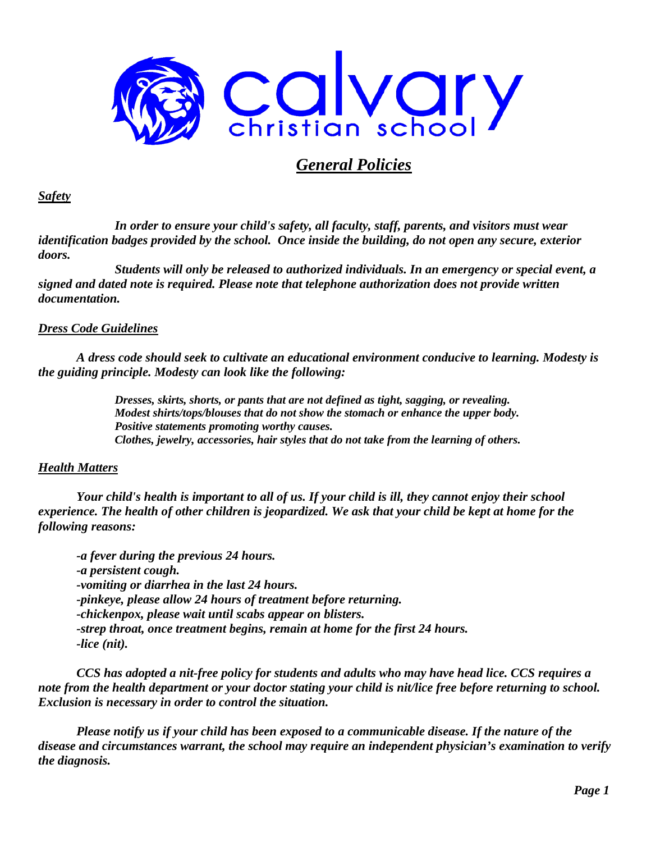

# *General Policies*

#### *Safety*

*In order to ensure your child's safety, all faculty, staff, parents, and visitors must wear identification badges provided by the school. Once inside the building, do not open any secure, exterior doors.*

*Students will only be released to authorized individuals. In an emergency or special event, a signed and dated note is required. Please note that telephone authorization does not provide written documentation.*

### *Dress Code Guidelines*

*A dress code should seek to cultivate an educational environment conducive to learning. Modesty is the guiding principle. Modesty can look like the following:*

> *Dresses, skirts, shorts, or pants that are not defined as tight, sagging, or revealing. Modest shirts/tops/blouses that do not show the stomach or enhance the upper body. Positive statements promoting worthy causes. Clothes, jewelry, accessories, hair styles that do not take from the learning of others.*

### *Health Matters*

*Your child's health is important to all of us. If your child is ill, they cannot enjoy their school experience. The health of other children is jeopardized. We ask that your child be kept at home for the following reasons:*

*-a fever during the previous 24 hours. -a persistent cough. -vomiting or diarrhea in the last 24 hours. -pinkeye, please allow 24 hours of treatment before returning. -chickenpox, please wait until scabs appear on blisters. -strep throat, once treatment begins, remain at home for the first 24 hours. -lice (nit).* 

*CCS has adopted a nit-free policy for students and adults who may have head lice. CCS requires a note from the health department or your doctor stating your child is nit/lice free before returning to school. Exclusion is necessary in order to control the situation.*

*Please notify us if your child has been exposed to a communicable disease. If the nature of the disease and circumstances warrant, the school may require an independent physician's examination to verify the diagnosis.*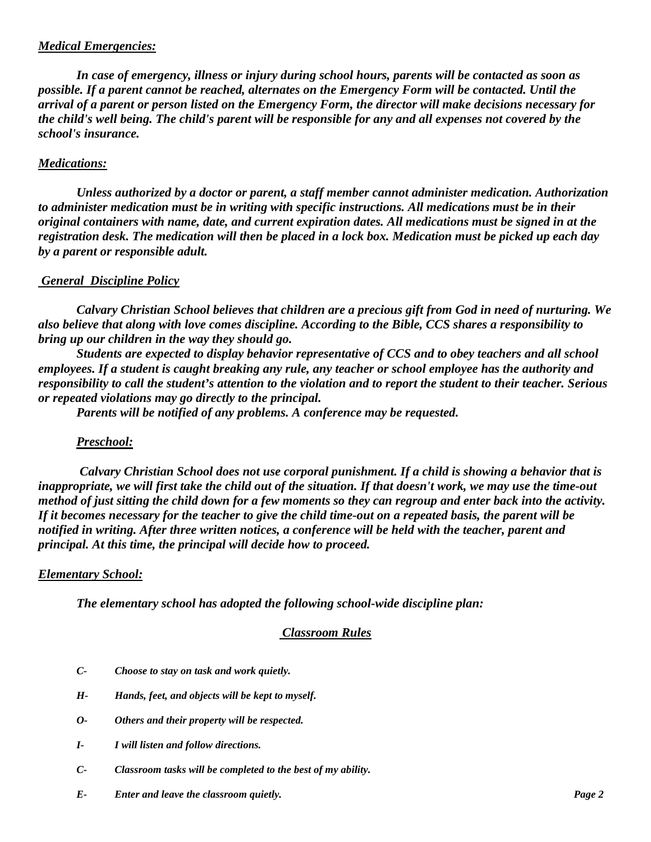## *Medical Emergencies:*

*In case of emergency, illness or injury during school hours, parents will be contacted as soon as possible. If a parent cannot be reached, alternates on the Emergency Form will be contacted. Until the arrival of a parent or person listed on the Emergency Form, the director will make decisions necessary for the child's well being. The child's parent will be responsible for any and all expenses not covered by the school's insurance.*

## *Medications:*

*Unless authorized by a doctor or parent, a staff member cannot administer medication. Authorization to administer medication must be in writing with specific instructions. All medications must be in their original containers with name, date, and current expiration dates. All medications must be signed in at the registration desk. The medication will then be placed in a lock box. Medication must be picked up each day by a parent or responsible adult.*

## *General Discipline Policy*

*Calvary Christian School believes that children are a precious gift from God in need of nurturing. We also believe that along with love comes discipline. According to the Bible, CCS shares a responsibility to bring up our children in the way they should go.*

*Students are expected to display behavior representative of CCS and to obey teachers and all school employees. If a student is caught breaking any rule, any teacher or school employee has the authority and responsibility to call the student's attention to the violation and to report the student to their teacher. Serious or repeated violations may go directly to the principal.*

*Parents will be notified of any problems. A conference may be requested.* 

### *Preschool:*

*Calvary Christian School does not use corporal punishment. If a child is showing a behavior that is inappropriate, we will first take the child out of the situation. If that doesn't work, we may use the time-out method of just sitting the child down for a few moments so they can regroup and enter back into the activity. If it becomes necessary for the teacher to give the child time-out on a repeated basis, the parent will be notified in writing. After three written notices, a conference will be held with the teacher, parent and principal. At this time, the principal will decide how to proceed.*

### *Elementary School:*

*The elementary school has adopted the following school-wide discipline plan:*

### *Classroom Rules*

- *C- Choose to stay on task and work quietly.*
- *H- Hands, feet, and objects will be kept to myself.*
- *O- Others and their property will be respected.*
- *I- I will listen and follow directions.*
- *C- Classroom tasks will be completed to the best of my ability.*
- *E- Enter and leave the classroom quietly. Page 2*